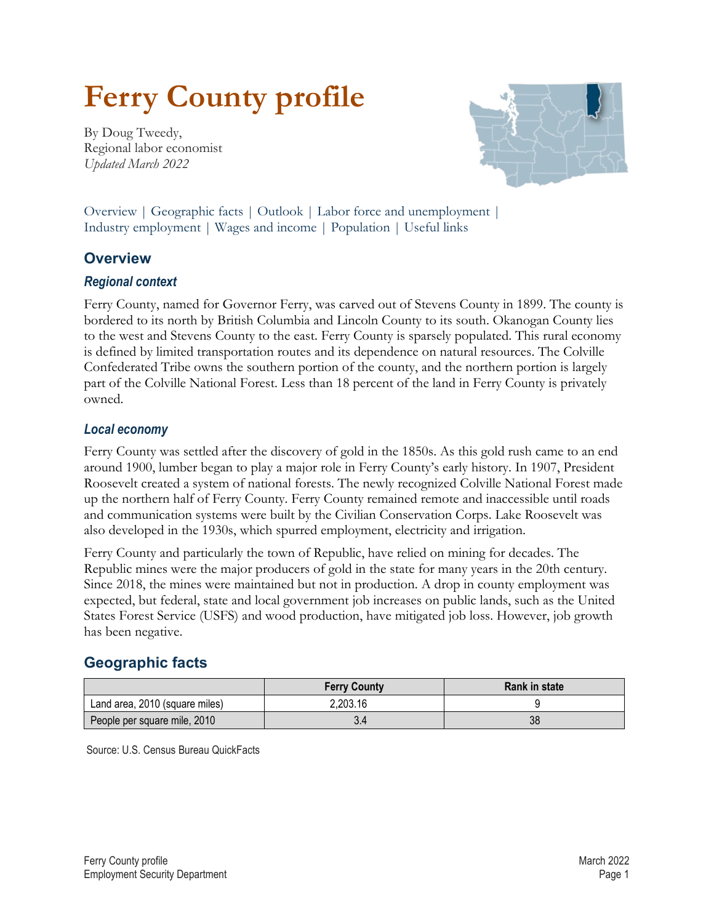# **Ferry County profile**

By Doug Tweedy, Regional labor economist *Updated March 2022*

<span id="page-0-1"></span>

Overview | [Geographic facts](#page-0-0) | [Outlook](#page-1-0) | [Labor force and unemployment |](#page-1-1) [Industry employment |](#page-1-2) [Wages and income](#page-2-0) | [Population](#page-2-1) | [Useful links](#page-3-0)

## **Overview**

#### *Regional context*

Ferry County, named for Governor Ferry, was carved out of Stevens County in 1899. The county is bordered to its north by British Columbia and Lincoln County to its south. Okanogan County lies to the west and Stevens County to the east. Ferry County is sparsely populated. This rural economy is defined by limited transportation routes and its dependence on natural resources. The Colville Confederated Tribe owns the southern portion of the county, and the northern portion is largely part of the Colville National Forest. Less than 18 percent of the land in Ferry County is privately owned.

#### *Local economy*

Ferry County was settled after the discovery of gold in the 1850s. As this gold rush came to an end around 1900, lumber began to play a major role in Ferry County's early history. In 1907, President Roosevelt created a system of national forests. The newly recognized Colville National Forest made up the northern half of Ferry County. Ferry County remained remote and inaccessible until roads and communication systems were built by the Civilian Conservation Corps. Lake Roosevelt was also developed in the 1930s, which spurred employment, electricity and irrigation.

Ferry County and particularly the town of Republic, have relied on mining for decades. The Republic mines were the major producers of gold in the state for many years in the 20th century. Since 2018, the mines were maintained but not in production. A drop in county employment was expected, but federal, state and local government job increases on public lands, such as the United States Forest Service (USFS) and wood production, have mitigated job loss. However, job growth has been negative.

## <span id="page-0-0"></span>**[Geographic facts](#page-0-1)**

|                                | <b>Ferry County</b> | Rank in state |
|--------------------------------|---------------------|---------------|
| Land area, 2010 (square miles) | 2,203.16            |               |
| People per square mile, 2010   | 3.4                 | 38            |

Source: U.S. Census Bureau QuickFacts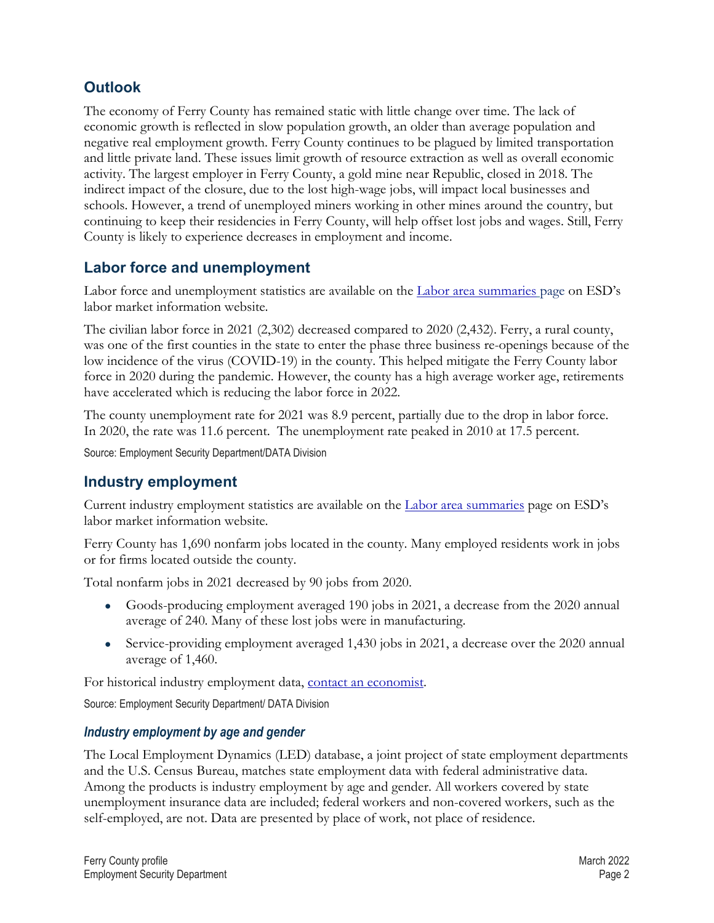## <span id="page-1-0"></span>**[Outlook](#page-0-1)**

The economy of Ferry County has remained static with little change over time. The lack of economic growth is reflected in slow population growth, an older than average population and negative real employment growth. Ferry County continues to be plagued by limited transportation and little private land. These issues limit growth of resource extraction as well as overall economic activity. The largest employer in Ferry County, a gold mine near Republic, closed in 2018. The indirect impact of the closure, due to the lost high-wage jobs, will impact local businesses and schools. However, a trend of unemployed miners working in other mines around the country, but continuing to keep their residencies in Ferry County, will help offset lost jobs and wages. Still, Ferry County is likely to experience decreases in employment and income.

## <span id="page-1-1"></span>**[Labor force and unemployment](#page-0-1)**

Labor force and unemployment statistics are available on the [Labor area summaries](https://esd.wa.gov/labormarketinfo/labor-area-summaries) page on ESD's labor market information website.

The civilian labor force in 2021 (2,302) decreased compared to 2020 (2,432). Ferry, a rural county, was one of the first counties in the state to enter the phase three business re-openings because of the low incidence of the virus (COVID-19) in the county. This helped mitigate the Ferry County labor force in 2020 during the pandemic. However, the county has a high average worker age, retirements have accelerated which is reducing the labor force in 2022.

The county unemployment rate for 2021 was 8.9 percent, partially due to the drop in labor force. In 2020, the rate was 11.6 percent. The unemployment rate peaked in 2010 at 17.5 percent.

Source: Employment Security Department/DATA Division

## <span id="page-1-2"></span>**[Industry employment](#page-0-1)**

Current industry employment statistics are available on the [Labor area summaries](https://esd.wa.gov/labormarketinfo/labor-area-summaries) page on ESD's labor market information website.

Ferry County has 1,690 nonfarm jobs located in the county. Many employed residents work in jobs or for firms located outside the county.

Total nonfarm jobs in 2021 decreased by 90 jobs from 2020.

- Goods-producing employment averaged 190 jobs in 2021, a decrease from the 2020 annual average of 240. Many of these lost jobs were in manufacturing.
- Service-providing employment averaged 1,430 jobs in 2021, a decrease over the 2020 annual average of 1,460.

For historical industry employment data, [contact an economist.](mailto:Dtweedy@esd.wa.gov)

Source: Employment Security Department/ DATA Division

#### *Industry employment by age and gender*

The Local Employment Dynamics (LED) database, a joint project of state employment departments and the U.S. Census Bureau, matches state employment data with federal administrative data. Among the products is industry employment by age and gender. All workers covered by state unemployment insurance data are included; federal workers and non-covered workers, such as the self-employed, are not. Data are presented by place of work, not place of residence.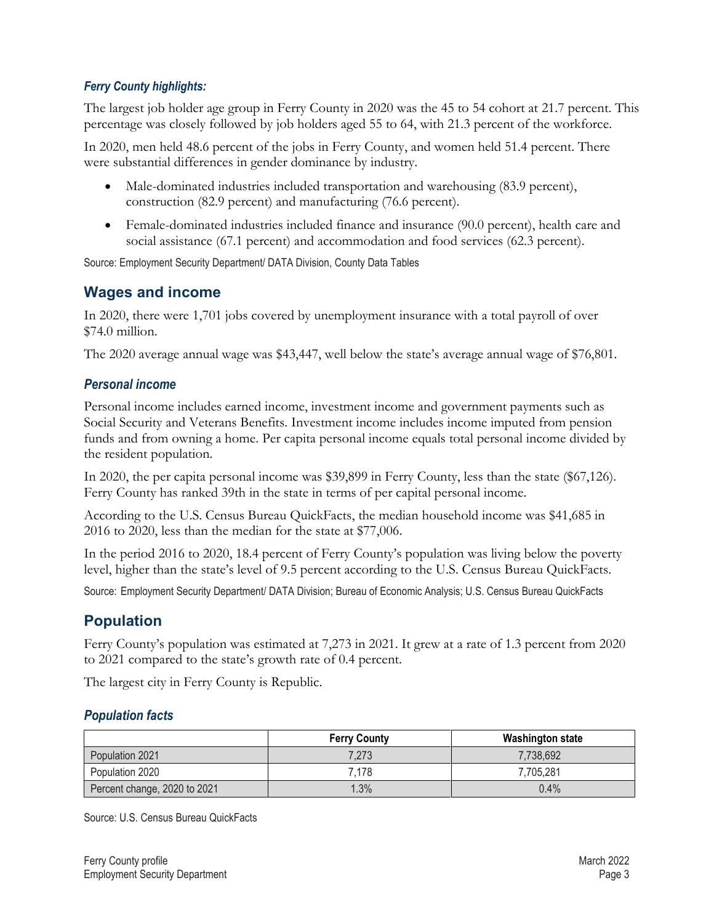#### *Ferry County highlights:*

The largest job holder age group in Ferry County in 2020 was the 45 to 54 cohort at 21.7 percent. This percentage was closely followed by job holders aged 55 to 64, with 21.3 percent of the workforce.

In 2020, men held 48.6 percent of the jobs in Ferry County, and women held 51.4 percent. There were substantial differences in gender dominance by industry.

- Male-dominated industries included transportation and warehousing (83.9 percent), construction (82.9 percent) and manufacturing (76.6 percent).
- Female-dominated industries included finance and insurance (90.0 percent), health care and social assistance (67.1 percent) and accommodation and food services (62.3 percent).

Source: Employment Security Department/ DATA Division, County Data Tables

## <span id="page-2-0"></span>**[Wages and income](#page-0-1)**

In 2020, there were 1,701 jobs covered by unemployment insurance with a total payroll of over \$74.0 million.

The 2020 average annual wage was \$43,447, well below the state's average annual wage of \$76,801.

#### *Personal income*

Personal income includes earned income, investment income and government payments such as Social Security and Veterans Benefits. Investment income includes income imputed from pension funds and from owning a home. Per capita personal income equals total personal income divided by the resident population.

In 2020, the per capita personal income was \$39,899 in Ferry County, less than the state (\$67,126). Ferry County has ranked 39th in the state in terms of per capital personal income.

According to the U.S. Census Bureau QuickFacts, the median household income was \$41,685 in 2016 to 2020, less than the median for the state at \$77,006.

In the period 2016 to 2020, 18.4 percent of Ferry County's population was living below the poverty level, higher than the state's level of 9.5 percent according to the U.S. Census Bureau QuickFacts.

Source: Employment Security Department/ DATA Division; Bureau of Economic Analysis; U.S. Census Bureau QuickFacts

## <span id="page-2-1"></span>**[Population](#page-0-1)**

Ferry County's population was estimated at 7,273 in 2021. It grew at a rate of 1.3 percent from 2020 to 2021 compared to the state's growth rate of 0.4 percent.

The largest city in Ferry County is Republic.

#### *Population facts*

|                              | <b>Ferry County</b> | <b>Washington state</b> |
|------------------------------|---------------------|-------------------------|
| Population 2021              | 7,273               | 7,738,692               |
| Population 2020              | 7.178               | 7.705.281               |
| Percent change, 2020 to 2021 | 1.3%                | 0.4%                    |

Source: U.S. Census Bureau QuickFacts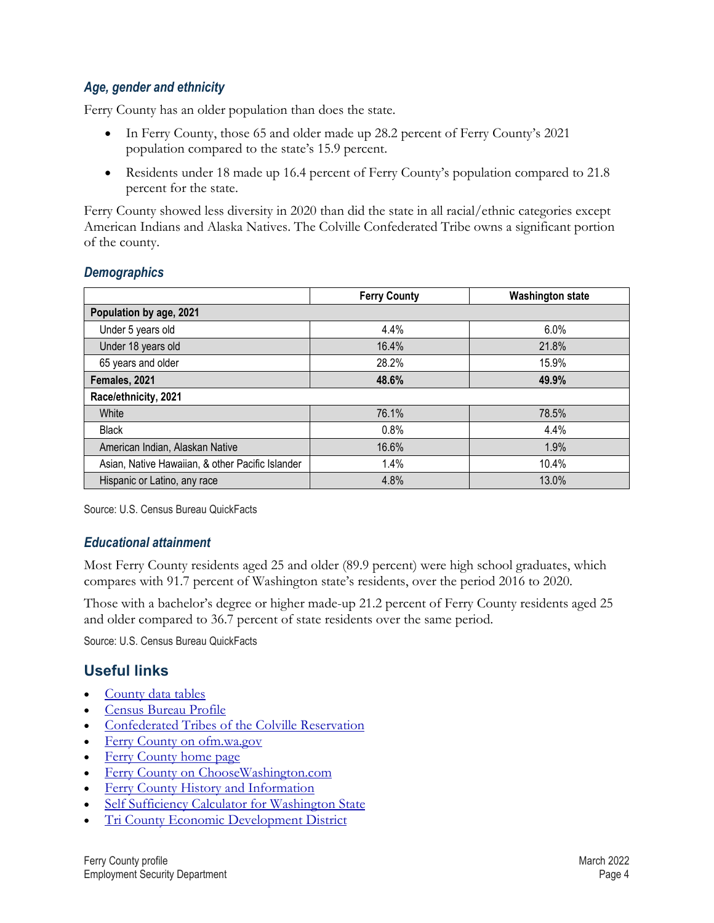#### *Age, gender and ethnicity*

Ferry County has an older population than does the state.

- In Ferry County, those 65 and older made up 28.2 percent of Ferry County's 2021 population compared to the state's 15.9 percent.
- Residents under 18 made up 16.4 percent of Ferry County's population compared to 21.8 percent for the state.

Ferry County showed less diversity in 2020 than did the state in all racial/ethnic categories except American Indians and Alaska Natives. The Colville Confederated Tribe owns a significant portion of the county.

#### *Demographics*

|                                                  | <b>Ferry County</b> | <b>Washington state</b> |  |  |
|--------------------------------------------------|---------------------|-------------------------|--|--|
| Population by age, 2021                          |                     |                         |  |  |
| Under 5 years old                                | 4.4%                | 6.0%                    |  |  |
| Under 18 years old                               | 16.4%               | 21.8%                   |  |  |
| 65 years and older                               | 28.2%               | 15.9%                   |  |  |
| Females, 2021                                    | 48.6%               | 49.9%                   |  |  |
| Race/ethnicity, 2021                             |                     |                         |  |  |
| White                                            | 76.1%               | 78.5%                   |  |  |
| <b>Black</b>                                     | 0.8%                | 4.4%                    |  |  |
| American Indian, Alaskan Native                  | 16.6%               | 1.9%                    |  |  |
| Asian, Native Hawaiian, & other Pacific Islander | 1.4%                | 10.4%                   |  |  |
| Hispanic or Latino, any race                     | 4.8%                | 13.0%                   |  |  |

Source: U.S. Census Bureau QuickFacts

#### *Educational attainment*

Most Ferry County residents aged 25 and older (89.9 percent) were high school graduates, which compares with 91.7 percent of Washington state's residents, over the period 2016 to 2020.

Those with a bachelor's degree or higher made-up 21.2 percent of Ferry County residents aged 25 and older compared to 36.7 percent of state residents over the same period.

Source: U.S. Census Bureau QuickFacts

## <span id="page-3-0"></span>**[Useful links](#page-0-1)**

- [County data tables](https://esdorchardstorage.blob.core.windows.net/esdwa/Default/ESDWAGOV/labor-market-info/Libraries/Regional-reports/County-Data-Tables/Ferry%20County%20data%20tables.xlsx)
- [Census Bureau Profile](https://data.census.gov/cedsci/profile?q=Ferry%20County,%20Washington&g=0500000US53019)
- [Confederated Tribes of the Colville Reservation](http://www.colvilletribes.com/)
- [Ferry County on ofm.wa.gov](https://ofm.wa.gov/washington-data-research/county-and-city-data/ferry-county)
- [Ferry County home page](http://www.ferry-county.com/)
- [Ferry County on ChooseWashington.com](http://choosewashingtonstate.com/why-washington/our-region/)
- [Ferry County History and Information](http://www.historylink.org/File/7787)
- **[Self Sufficiency Calculator for Washington State](http://www.thecalculator.org/)**
- [Tri County Economic Development District](http://www.teddonline.com/)